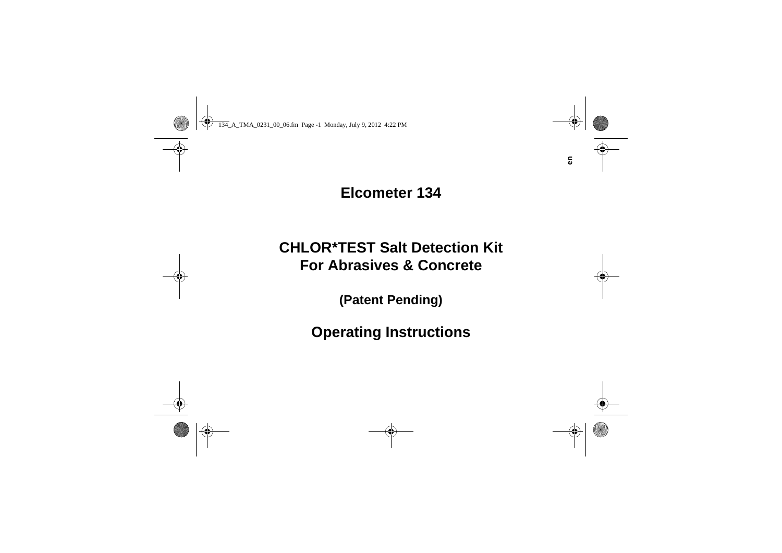## **Elcometer 134**

# **CHLOR\*TEST Salt Detection KitFor Abrasives & Concrete**

**(Patent Pending)**

**Operating Instructions**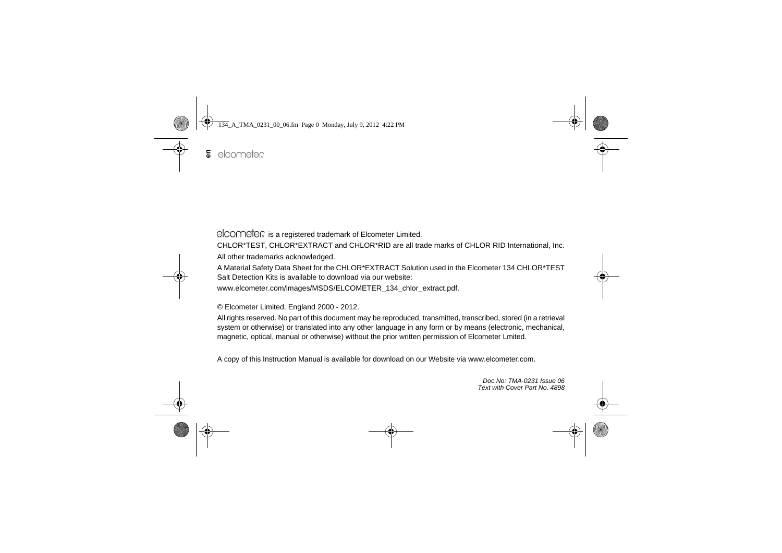elcometer is a registered trademark of Elcometer Limited.

CHLOR\*TEST, CHLOR\*EXTRACT and CHLOR\*RID are all trade marks of CHLOR RID International, Inc. All other trademarks acknowledged.

A Material Safety Data Sheet for the CHLOR\*EXTRACT Solution used in the Elcometer 134 CHLOR\*TEST Salt Detection Kits is available to download via our website:

www.elcometer.com/images/MSDS/ELCOMETER\_134\_chlor\_extract.pdf.

© Elcometer Limited. England 2000 - 2012.

All rights reserved. No part of this document may be reproduced, transmitted, transcribed, stored (in a retrieval system or otherwise) or translated into any other language in any form or by means (electronic, mechanical, magnetic, optical, manual or otherwise) without the prior written permission of Elcometer Lmited.

A copy of this Instruction Manual is available for download on our Website via www.elcometer.com.

*Doc.No: TMA-0231 Issue 06Text with Cover Part No. 4898*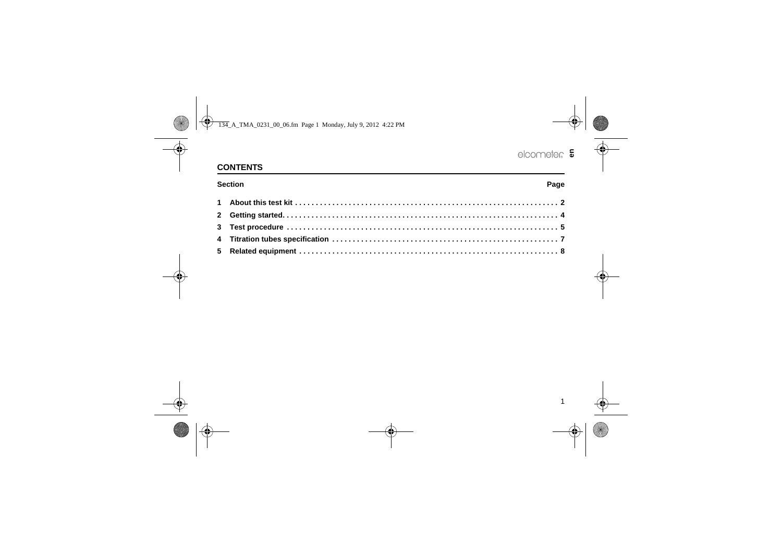## R **en**

## **CONTENTS**

**Section**

#### **n** Base of the Contract of the Contract of the Contract of the Contract of the Contract of the Contract of the Contract of the Contract of the Contract of the Contract of the Contract of the Contract of the Contract of th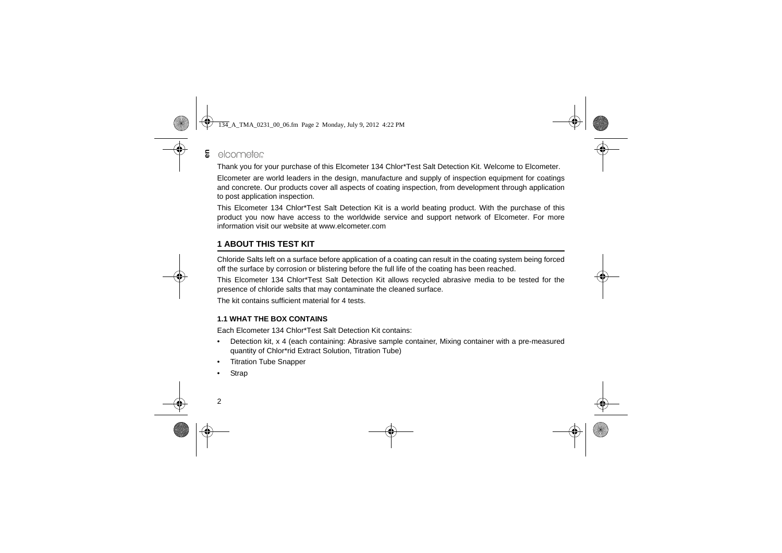#### elcometer **en**

Thank you for your purchase of this Elcometer 134 Chlor\*Test Salt Detection Kit. Welcome to Elcometer.

Elcometer are world leaders in the design, manufacture and supply of inspection equipment for coatings and concrete. Our products cover all aspects of coating inspection, from development through application to post application inspection.

[This Elcometer 134 Chlor\\*Test Salt Detection Kit is a world beating product. With the purchase of this](http://www.elcometer.com) product you now have access to the worldwide service and support network of Elcometer. For more information visit our website at www.elcometer.com

## <span id="page-3-0"></span>**1 ABOUT THIS TEST KIT**

Chloride Salts left on a surface before application of a coating can result in the coating system being forced off the surface by corrosion or blistering before the full life of the coating has been reached.

This Elcometer 134 Chlor\*Test Salt Detection Kit allows recycled abrasive media to be tested for the presence of chloride salts that may contaminate the cleaned surface.

The kit contains sufficient material for 4 tests.

### **1.1 WHAT THE BOX CONTAINS**

Each Elcometer 134 Chlor\*Test Salt Detection Kit contains:

- • Detection kit, x 4 (each containing: Abrasive sample container, Mixing container with a pre-measured quantity of Chlor\*rid Extract Solution, Titration Tube)
- •Titration Tube Snapper
- •**Strap**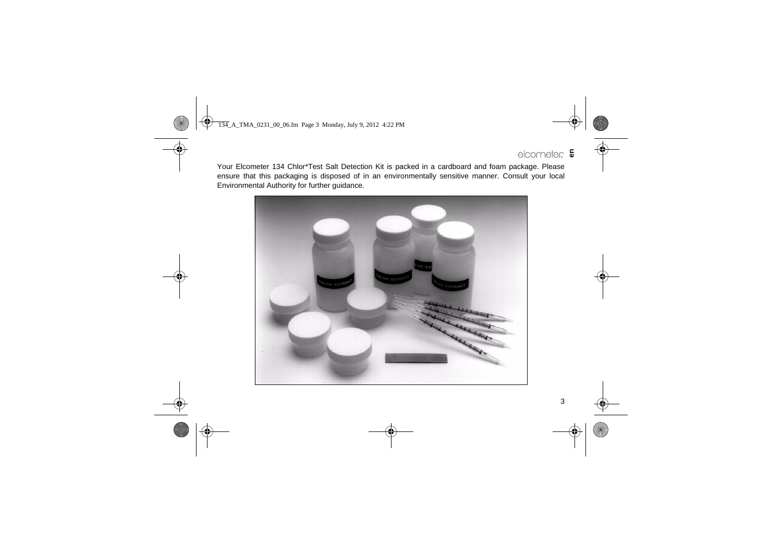## R**en**

Your Elcometer 134 Chlor\*Test Salt Detection Kit is packed in a cardboard and foam package. Please ensure that this packaging is disposed of in an environmentally sensitive manner. Consult your local Environmental Authority for further guidance.

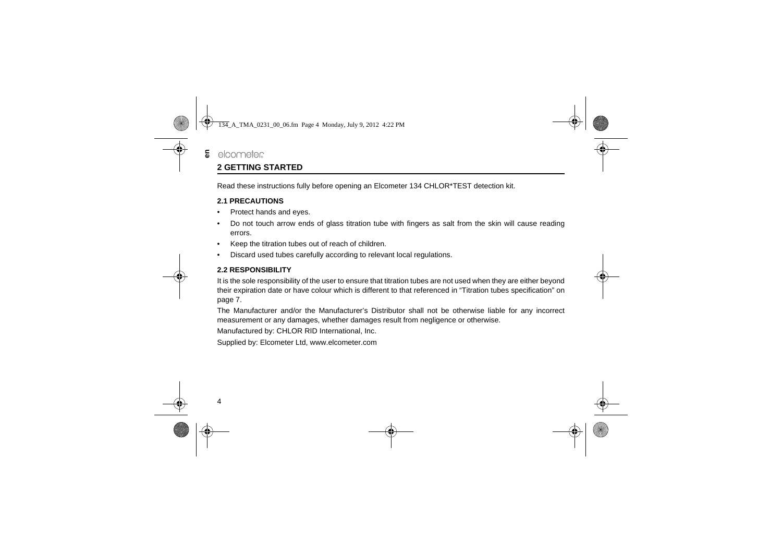### <span id="page-5-0"></span>elcometer **2 GETTING STARTED**

**en**

Read these instructions fully before opening an Elcometer 134 CHLOR\*TEST detection kit.

#### **2.1 PRECAUTIONS**

- •Protect hands and eyes.
- • Do not touch arrow ends of glass titration tube with fingers as salt from the skin will cause reading errors.
- •Keep the titration tubes out of reach of children.
- •Discard used tubes carefully according to relevant local regulations.

#### **2.2 RESPONSIBILITY**

It is the sole responsibility of the user to ensure that titration tubes are not used when they are either beyond their expiration date or have colour which is different to that referenced in ["Titration tubes specification" on](#page-8-0) [page](#page-8-0) 7.

The Manufacturer and/or the Manufacturer's Distributor shall not be otherwise liable for any incorrect measurement or any damages, whether damages result from negligence or otherwise.

Manufactured by: CHLOR RID International, Inc.

[Supplied by: Elcometer Ltd, www.elcometer.com](http://www.elcometer.com)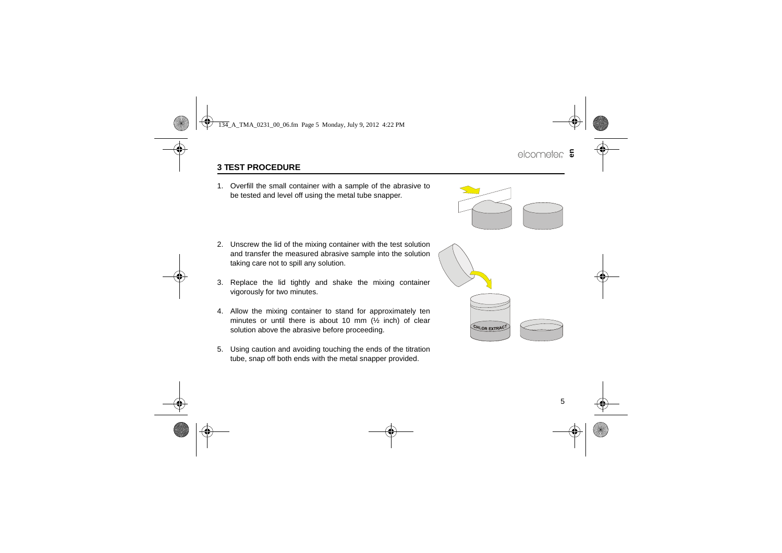## <span id="page-6-0"></span>**3 TEST PROCEDURE**

1. Overfill the small container with a sample of the abrasive to be tested and level off using the metal tube snapper.

- 2. Unscrew the lid of the mixing container with the test solution and transfer the measured abrasive sample into the solution taking care not to spill any solution.
- 3. Replace the lid tightly and shake the mixing container vigorously for two minutes.
- 4. Allow the mixing container to stand for approximately ten minutes or until there is about 10 mm (½ inch) of clear solution above the abrasive before proceeding.
- 5. Using caution and avoiding touching the ends of the titration tube, snap off both ends with the metal snapper provided.



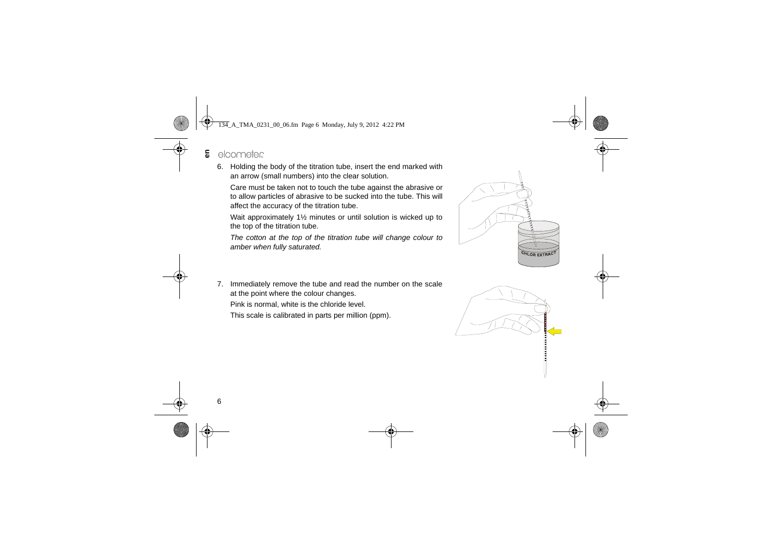- elcometer **en**
	- 6. Holding the body of the titration tube, insert the end marked with an arrow (small numbers) into the clear solution.

Care must be taken not to touch the tube against the abrasive or to allow particles of abrasive to be sucked into the tube. This will affect the accuracy of the titration tube.

Wait approximately 1½ minutes or until solution is wicked up to the top of the titration tube.

*The cotton at the top of the titration tube will change colour to amber when fully saturated.*



7. Immediately remove the tube and read the number on the scale at the point where the colour changes.

Pink is normal, white is the chloride level.

This scale is calibrated in parts per million (ppm).

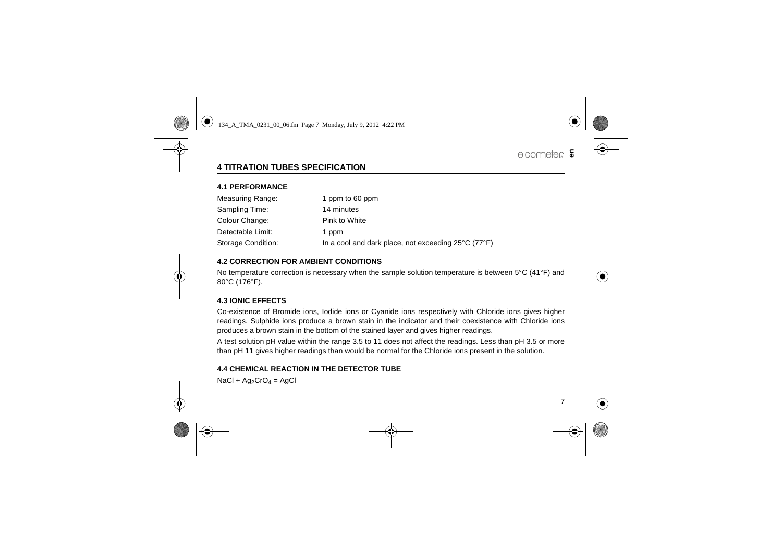## <span id="page-8-0"></span>**4 TITRATION TUBES SPECIFICATION**

#### **4.1 PERFORMANCE**

| Measuring Range:   | 1 ppm to 60 ppm                                     |  |
|--------------------|-----------------------------------------------------|--|
| Sampling Time:     | 14 minutes                                          |  |
| Colour Change:     | Pink to White                                       |  |
| Detectable Limit:  | 1 ppm                                               |  |
| Storage Condition: | In a cool and dark place, not exceeding 25°C (77°F) |  |

#### **4.2 CORRECTION FOR AMBIENT CONDITIONS**

No temperature correction is necessary when the sample solution temperature is between 5°C (41°F) and 80°C (176°F).

#### **4.3 IONIC EFFECTS**

Co-existence of Bromide ions, Iodide ions or Cyanide ions respectively with Chloride ions gives higher readings. Sulphide ions produce a brown stain in the indicator and their coexistence with Chloride ions produces a brown stain in the bottom of the stained layer and gives higher readings.

A test solution pH value within the range 3.5 to 11 does not affect the readings. Less than pH 3.5 or more than pH 11 gives higher readings than would be normal for the Chloride ions present in the solution.

#### **4.4 CHEMICAL REACTION IN THE DETECTOR TUBE**

 $NaCl + Ag<sub>2</sub>CrO<sub>4</sub> = AgCl$